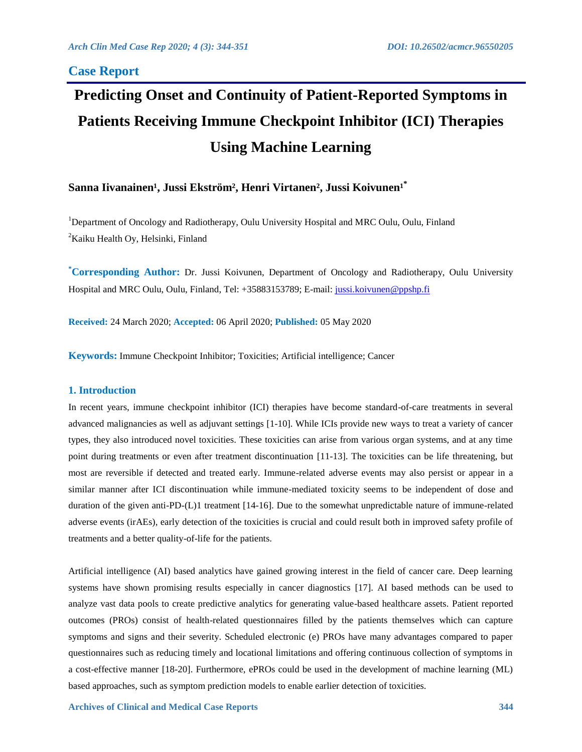## **Case Report**

# **Predicting Onset and Continuity of Patient-Reported Symptoms in Patients Receiving Immune Checkpoint Inhibitor (ICI) Therapies Using Machine Learning**

# Sanna Iivanainen<sup>1</sup>, Jussi Ekström<sup>2</sup>, Henri Virtanen<sup>2</sup>, Jussi Koivunen<sup>1</sup><sup>\*</sup>

<sup>1</sup>Department of Oncology and Radiotherapy, Oulu University Hospital and MRC Oulu, Oulu, Finland  ${}^{2}$ Kaiku Health Oy, Helsinki, Finland

**\*Corresponding Author:** Dr. Jussi Koivunen, Department of Oncology and Radiotherapy, Oulu University Hospital and MRC Oulu, Oulu, Finland, Tel: +35883153789; E-mail[: jussi.koivunen@ppshp.fi](mailto:jussi.koivunen@ppshp.fi)

**Received:** 24 March 2020; **Accepted:** 06 April 2020; **Published:** 05 May 2020

**Keywords:** Immune Checkpoint Inhibitor; Toxicities; Artificial intelligence; Cancer

#### **1. Introduction**

In recent years, immune checkpoint inhibitor (ICI) therapies have become standard-of-care treatments in several advanced malignancies as well as adjuvant settings [1-10]. While ICIs provide new ways to treat a variety of cancer types, they also introduced novel toxicities. These toxicities can arise from various organ systems, and at any time point during treatments or even after treatment discontinuation [11-13]. The toxicities can be life threatening, but most are reversible if detected and treated early. Immune-related adverse events may also persist or appear in a similar manner after ICI discontinuation while immune-mediated toxicity seems to be independent of dose and duration of the given anti-PD-(L)1 treatment [14-16]. Due to the somewhat unpredictable nature of immune-related adverse events (irAEs), early detection of the toxicities is crucial and could result both in improved safety profile of treatments and a better quality-of-life for the patients.

Artificial intelligence (AI) based analytics have gained growing interest in the field of cancer care. Deep learning systems have shown promising results especially in cancer diagnostics [17]. AI based methods can be used to analyze vast data pools to create predictive analytics for generating value-based healthcare assets. Patient reported outcomes (PROs) consist of health-related questionnaires filled by the patients themselves which can capture symptoms and signs and their severity. Scheduled electronic (e) PROs have many advantages compared to paper questionnaires such as reducing timely and locational limitations and offering continuous collection of symptoms in a cost-effective manner [18-20]. Furthermore, ePROs could be used in the development of machine learning (ML) based approaches, such as symptom prediction models to enable earlier detection of toxicities.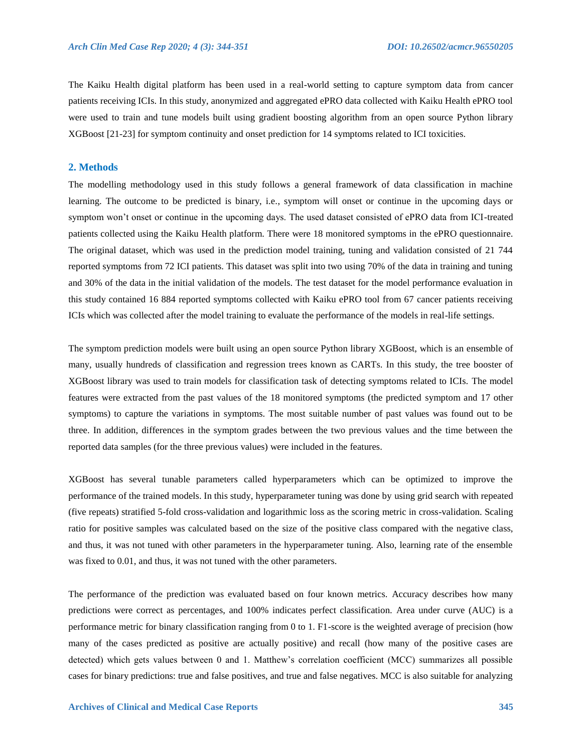The Kaiku Health digital platform has been used in a real-world setting to capture symptom data from cancer patients receiving ICIs. In this study, anonymized and aggregated ePRO data collected with Kaiku Health ePRO tool were used to train and tune models built using gradient boosting algorithm from an open source Python library XGBoost [21-23] for symptom continuity and onset prediction for 14 symptoms related to ICI toxicities.

#### **2. Methods**

The modelling methodology used in this study follows a general framework of data classification in machine learning. The outcome to be predicted is binary, i.e., symptom will onset or continue in the upcoming days or symptom won't onset or continue in the upcoming days. The used dataset consisted of ePRO data from ICI-treated patients collected using the Kaiku Health platform. There were 18 monitored symptoms in the ePRO questionnaire. The original dataset, which was used in the prediction model training, tuning and validation consisted of 21 744 reported symptoms from 72 ICI patients. This dataset was split into two using 70% of the data in training and tuning and 30% of the data in the initial validation of the models. The test dataset for the model performance evaluation in this study contained 16 884 reported symptoms collected with Kaiku ePRO tool from 67 cancer patients receiving ICIs which was collected after the model training to evaluate the performance of the models in real-life settings.

The symptom prediction models were built using an open source Python library XGBoost, which is an ensemble of many, usually hundreds of classification and regression trees known as CARTs. In this study, the tree booster of XGBoost library was used to train models for classification task of detecting symptoms related to ICIs. The model features were extracted from the past values of the 18 monitored symptoms (the predicted symptom and 17 other symptoms) to capture the variations in symptoms. The most suitable number of past values was found out to be three. In addition, differences in the symptom grades between the two previous values and the time between the reported data samples (for the three previous values) were included in the features.

XGBoost has several tunable parameters called hyperparameters which can be optimized to improve the performance of the trained models. In this study, hyperparameter tuning was done by using grid search with repeated (five repeats) stratified 5-fold cross-validation and logarithmic loss as the scoring metric in cross-validation. Scaling ratio for positive samples was calculated based on the size of the positive class compared with the negative class, and thus, it was not tuned with other parameters in the hyperparameter tuning. Also, learning rate of the ensemble was fixed to 0.01, and thus, it was not tuned with the other parameters.

The performance of the prediction was evaluated based on four known metrics. Accuracy describes how many predictions were correct as percentages, and 100% indicates perfect classification. Area under curve (AUC) is a performance metric for binary classification ranging from 0 to 1. F1-score is the weighted average of precision (how many of the cases predicted as positive are actually positive) and recall (how many of the positive cases are detected) which gets values between 0 and 1. Matthew's correlation coefficient (MCC) summarizes all possible cases for binary predictions: true and false positives, and true and false negatives. MCC is also suitable for analyzing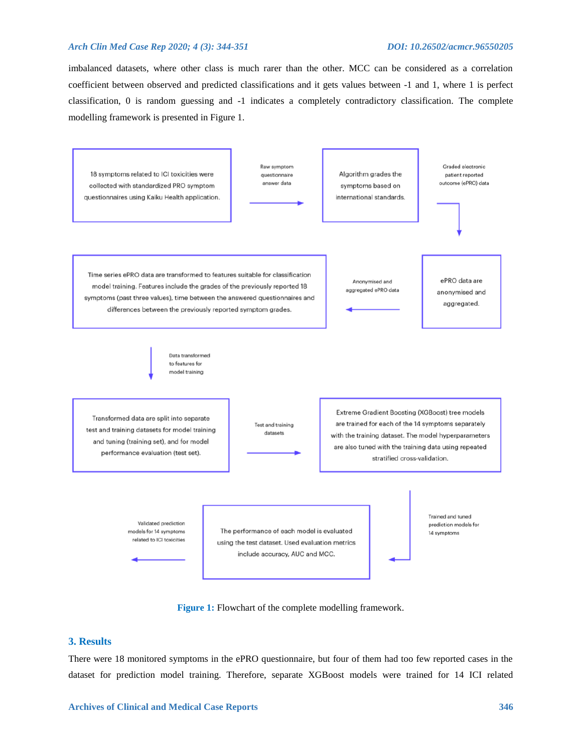#### *Arch Clin Med Case Rep 2020; 4 (3): 344-351 DOI: 10.26502/acmcr.96550205*

imbalanced datasets, where other class is much rarer than the other. MCC can be considered as a correlation coefficient between observed and predicted classifications and it gets values between -1 and 1, where 1 is perfect classification, 0 is random guessing and -1 indicates a completely contradictory classification. The complete modelling framework is presented in Figure 1.



**Figure 1:** Flowchart of the complete modelling framework.

### **3. Results**

There were 18 monitored symptoms in the ePRO questionnaire, but four of them had too few reported cases in the dataset for prediction model training. Therefore, separate XGBoost models were trained for 14 ICI related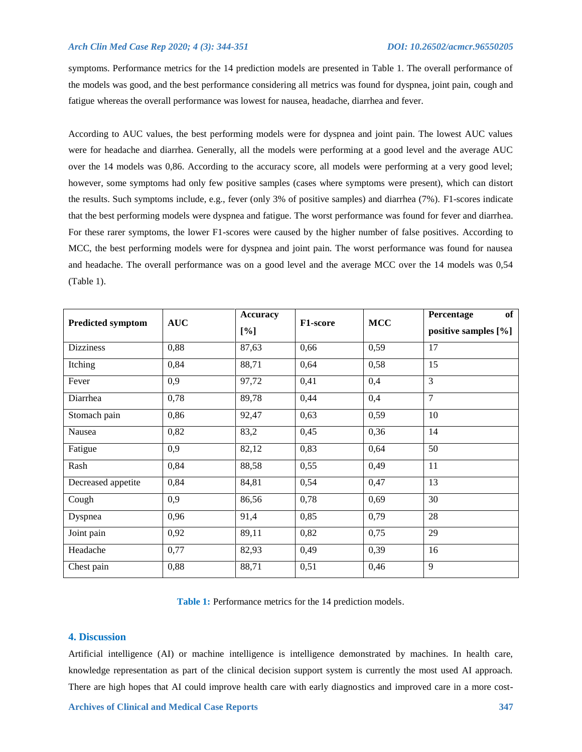#### *Arch Clin Med Case Rep 2020; 4 (3): 344-351 DOI: 10.26502/acmcr.96550205*

symptoms. Performance metrics for the 14 prediction models are presented in Table 1. The overall performance of the models was good, and the best performance considering all metrics was found for dyspnea, joint pain, cough and fatigue whereas the overall performance was lowest for nausea, headache, diarrhea and fever.

According to AUC values, the best performing models were for dyspnea and joint pain. The lowest AUC values were for headache and diarrhea. Generally, all the models were performing at a good level and the average AUC over the 14 models was 0,86. According to the accuracy score, all models were performing at a very good level; however, some symptoms had only few positive samples (cases where symptoms were present), which can distort the results. Such symptoms include, e.g., fever (only 3% of positive samples) and diarrhea (7%). F1-scores indicate that the best performing models were dyspnea and fatigue. The worst performance was found for fever and diarrhea. For these rarer symptoms, the lower F1-scores were caused by the higher number of false positives. According to MCC, the best performing models were for dyspnea and joint pain. The worst performance was found for nausea and headache. The overall performance was on a good level and the average MCC over the 14 models was 0,54 (Table 1).

| <b>Predicted symptom</b> | <b>AUC</b> | <b>Accuracy</b><br>[%] | F1-score | <b>MCC</b> | Percentage<br>of<br>positive samples [%] |
|--------------------------|------------|------------------------|----------|------------|------------------------------------------|
| <b>Dizziness</b>         | 0,88       | 87,63                  | 0,66     | 0,59       | 17                                       |
| Itching                  | 0,84       | 88,71                  | 0,64     | 0,58       | 15                                       |
| Fever                    | 0,9        | 97,72                  | 0,41     | 0,4        | $\overline{3}$                           |
| Diarrhea                 | 0,78       | 89,78                  | 0,44     | 0,4        | $\overline{7}$                           |
| Stomach pain             | 0,86       | 92,47                  | 0,63     | 0,59       | 10                                       |
| Nausea                   | 0,82       | 83,2                   | 0,45     | 0,36       | 14                                       |
| Fatigue                  | 0,9        | 82,12                  | 0,83     | 0,64       | 50                                       |
| Rash                     | 0,84       | 88,58                  | 0,55     | 0,49       | 11                                       |
| Decreased appetite       | 0,84       | 84,81                  | 0,54     | 0,47       | 13                                       |
| Cough                    | 0,9        | 86,56                  | 0,78     | 0,69       | 30                                       |
| Dyspnea                  | 0,96       | 91,4                   | 0,85     | 0,79       | 28                                       |
| Joint pain               | 0,92       | 89,11                  | 0,82     | 0,75       | 29                                       |
| Headache                 | 0,77       | 82,93                  | 0,49     | 0,39       | 16                                       |
| Chest pain               | 0,88       | 88,71                  | 0,51     | 0,46       | 9                                        |

**Table 1:** Performance metrics for the 14 prediction models.

#### **4. Discussion**

Artificial intelligence (AI) or machine intelligence is intelligence demonstrated by machines. In health care, knowledge representation as part of the clinical decision support system is currently the most used AI approach. There are high hopes that AI could improve health care with early diagnostics and improved care in a more cost-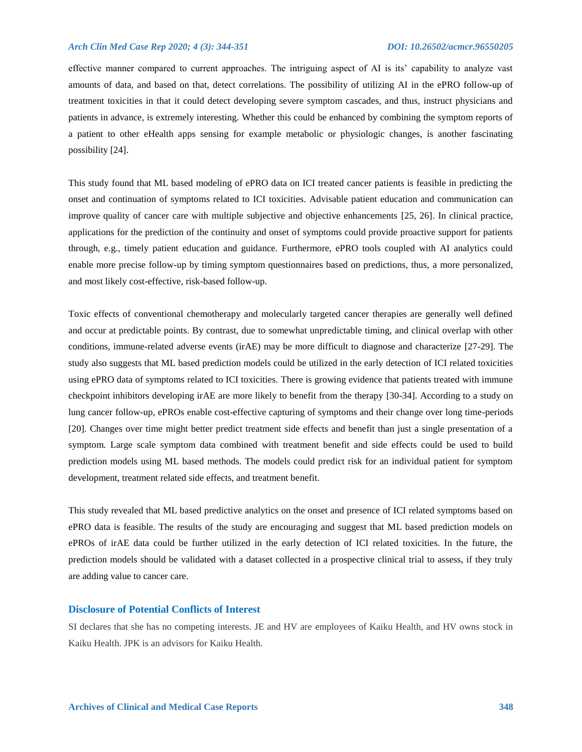#### *Arch Clin Med Case Rep 2020; 4 (3): 344-351 DOI: 10.26502/acmcr.96550205*

effective manner compared to current approaches. The intriguing aspect of AI is its' capability to analyze vast amounts of data, and based on that, detect correlations. The possibility of utilizing AI in the ePRO follow-up of treatment toxicities in that it could detect developing severe symptom cascades, and thus, instruct physicians and patients in advance, is extremely interesting. Whether this could be enhanced by combining the symptom reports of a patient to other eHealth apps sensing for example metabolic or physiologic changes, is another fascinating possibility [24].

This study found that ML based modeling of ePRO data on ICI treated cancer patients is feasible in predicting the onset and continuation of symptoms related to ICI toxicities. Advisable patient education and communication can improve quality of cancer care with multiple subjective and objective enhancements [25, 26]. In clinical practice, applications for the prediction of the continuity and onset of symptoms could provide proactive support for patients through, e.g., timely patient education and guidance. Furthermore, ePRO tools coupled with AI analytics could enable more precise follow-up by timing symptom questionnaires based on predictions, thus, a more personalized, and most likely cost-effective, risk-based follow-up.

Toxic effects of conventional chemotherapy and molecularly targeted cancer therapies are generally well defined and occur at predictable points. By contrast, due to somewhat unpredictable timing, and clinical overlap with other conditions, immune-related adverse events (irAE) may be more difficult to diagnose and characterize [27-29]. The study also suggests that ML based prediction models could be utilized in the early detection of ICI related toxicities using ePRO data of symptoms related to ICI toxicities. There is growing evidence that patients treated with immune checkpoint inhibitors developing irAE are more likely to benefit from the therapy [30-34]. According to a study on lung cancer follow-up, ePROs enable cost-effective capturing of symptoms and their change over long time-periods [20]. Changes over time might better predict treatment side effects and benefit than just a single presentation of a symptom. Large scale symptom data combined with treatment benefit and side effects could be used to build prediction models using ML based methods. The models could predict risk for an individual patient for symptom development, treatment related side effects, and treatment benefit.

This study revealed that ML based predictive analytics on the onset and presence of ICI related symptoms based on ePRO data is feasible. The results of the study are encouraging and suggest that ML based prediction models on ePROs of irAE data could be further utilized in the early detection of ICI related toxicities. In the future, the prediction models should be validated with a dataset collected in a prospective clinical trial to assess, if they truly are adding value to cancer care.

#### **Disclosure of Potential Conflicts of Interest**

SI declares that she has no competing interests. JE and HV are employees of Kaiku Health, and HV owns stock in Kaiku Health. JPK is an advisors for Kaiku Health.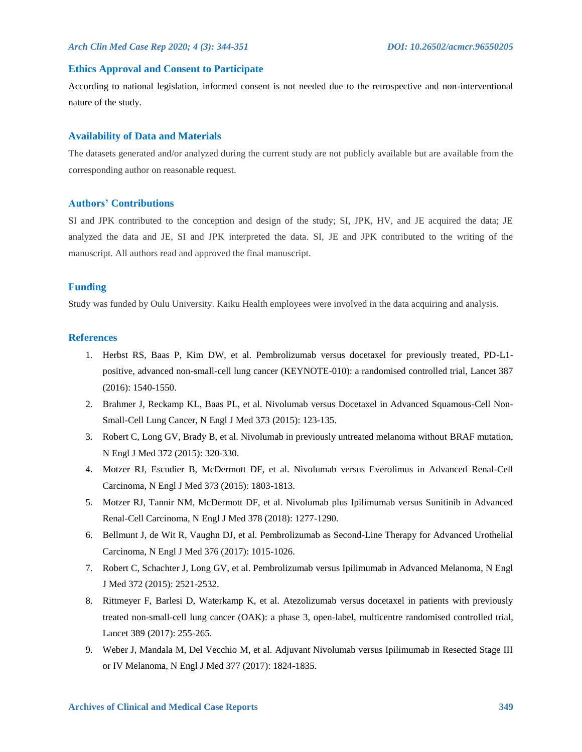#### **Ethics Approval and Consent to Participate**

According to national legislation, informed consent is not needed due to the retrospective and non-interventional nature of the study.

#### **Availability of Data and Materials**

The datasets generated and/or analyzed during the current study are not publicly available but are available from the corresponding author on reasonable request.

#### **Authors' Contributions**

SI and JPK contributed to the conception and design of the study; SI, JPK, HV, and JE acquired the data; JE analyzed the data and JE, SI and JPK interpreted the data. SI, JE and JPK contributed to the writing of the manuscript. All authors read and approved the final manuscript.

#### **Funding**

Study was funded by Oulu University. Kaiku Health employees were involved in the data acquiring and analysis.

#### **References**

- 1. Herbst RS, Baas P, Kim DW, et al. Pembrolizumab versus docetaxel for previously treated, PD-L1 positive, advanced non-small-cell lung cancer (KEYNOTE-010): a randomised controlled trial, Lancet 387 (2016): 1540-1550.
- 2. Brahmer J, Reckamp KL, Baas PL, et al. Nivolumab versus Docetaxel in Advanced Squamous-Cell Non-Small-Cell Lung Cancer, N Engl J Med 373 (2015): 123-135.
- 3. Robert C, Long GV, Brady B, et al. Nivolumab in previously untreated melanoma without BRAF mutation, N Engl J Med 372 (2015): 320-330.
- 4. Motzer RJ, Escudier B, McDermott DF, et al. Nivolumab versus Everolimus in Advanced Renal-Cell Carcinoma, N Engl J Med 373 (2015): 1803-1813.
- 5. Motzer RJ, Tannir NM, McDermott DF, et al. Nivolumab plus Ipilimumab versus Sunitinib in Advanced Renal-Cell Carcinoma, N Engl J Med 378 (2018): 1277-1290.
- 6. Bellmunt J, de Wit R, Vaughn DJ, et al. Pembrolizumab as Second-Line Therapy for Advanced Urothelial Carcinoma, N Engl J Med 376 (2017): 1015-1026.
- 7. Robert C, Schachter J, Long GV, et al. Pembrolizumab versus Ipilimumab in Advanced Melanoma, N Engl J Med 372 (2015): 2521-2532.
- 8. Rittmeyer F, Barlesi D, Waterkamp K, et al. Atezolizumab versus docetaxel in patients with previously treated non-small-cell lung cancer (OAK): a phase 3, open-label, multicentre randomised controlled trial, Lancet 389 (2017): 255-265.
- 9. Weber J, Mandala M, Del Vecchio M, et al. Adjuvant Nivolumab versus Ipilimumab in Resected Stage III or IV Melanoma, N Engl J Med 377 (2017): 1824-1835.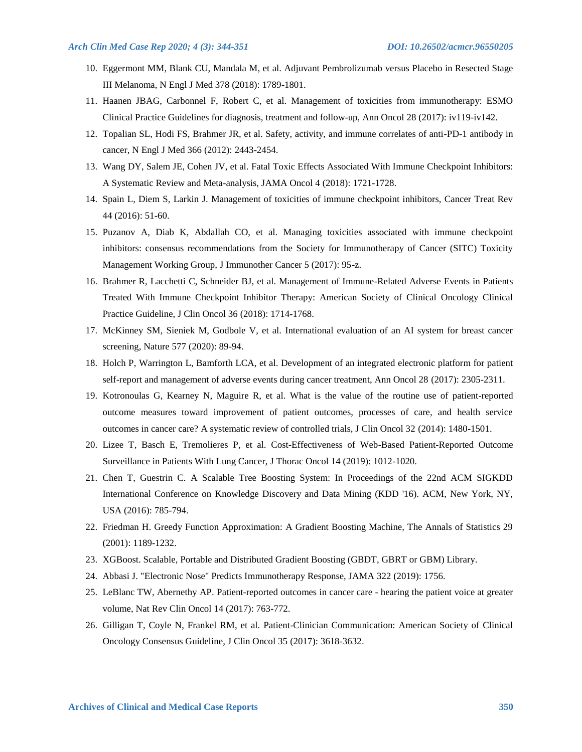- 10. Eggermont MM, Blank CU, Mandala M, et al. Adjuvant Pembrolizumab versus Placebo in Resected Stage III Melanoma, N Engl J Med 378 (2018): 1789-1801.
- 11. Haanen JBAG, Carbonnel F, Robert C, et al. Management of toxicities from immunotherapy: ESMO Clinical Practice Guidelines for diagnosis, treatment and follow-up, Ann Oncol 28 (2017): iv119-iv142.
- 12. Topalian SL, Hodi FS, Brahmer JR, et al. Safety, activity, and immune correlates of anti-PD-1 antibody in cancer, N Engl J Med 366 (2012): 2443-2454.
- 13. Wang DY, Salem JE, Cohen JV, et al. Fatal Toxic Effects Associated With Immune Checkpoint Inhibitors: A Systematic Review and Meta-analysis, JAMA Oncol 4 (2018): 1721-1728.
- 14. Spain L, Diem S, Larkin J. Management of toxicities of immune checkpoint inhibitors, Cancer Treat Rev 44 (2016): 51-60.
- 15. Puzanov A, Diab K, Abdallah CO, et al. Managing toxicities associated with immune checkpoint inhibitors: consensus recommendations from the Society for Immunotherapy of Cancer (SITC) Toxicity Management Working Group, J Immunother Cancer 5 (2017): 95-z.
- 16. Brahmer R, Lacchetti C, Schneider BJ, et al. Management of Immune-Related Adverse Events in Patients Treated With Immune Checkpoint Inhibitor Therapy: American Society of Clinical Oncology Clinical Practice Guideline, J Clin Oncol 36 (2018): 1714-1768.
- 17. McKinney SM, Sieniek M, Godbole V, et al. International evaluation of an AI system for breast cancer screening, Nature 577 (2020): 89-94.
- 18. Holch P, Warrington L, Bamforth LCA, et al. Development of an integrated electronic platform for patient self-report and management of adverse events during cancer treatment, Ann Oncol 28 (2017): 2305-2311.
- 19. Kotronoulas G, Kearney N, Maguire R, et al. What is the value of the routine use of patient-reported outcome measures toward improvement of patient outcomes, processes of care, and health service outcomes in cancer care? A systematic review of controlled trials, J Clin Oncol 32 (2014): 1480-1501.
- 20. Lizee T, Basch E, Tremolieres P, et al. Cost-Effectiveness of Web-Based Patient-Reported Outcome Surveillance in Patients With Lung Cancer, J Thorac Oncol 14 (2019): 1012-1020.
- 21. Chen T, Guestrin C. A Scalable Tree Boosting System: In Proceedings of the 22nd ACM SIGKDD International Conference on Knowledge Discovery and Data Mining (KDD '16). ACM, New York, NY, USA (2016): 785-794.
- 22. Friedman H. Greedy Function Approximation: A Gradient Boosting Machine, The Annals of Statistics 29 (2001): 1189-1232.
- 23. XGBoost. Scalable, Portable and Distributed Gradient Boosting (GBDT, GBRT or GBM) Library.
- 24. Abbasi J. "Electronic Nose" Predicts Immunotherapy Response, JAMA 322 (2019): 1756.
- 25. LeBlanc TW, Abernethy AP. Patient-reported outcomes in cancer care hearing the patient voice at greater volume, Nat Rev Clin Oncol 14 (2017): 763-772.
- 26. Gilligan T, Coyle N, Frankel RM, et al. Patient-Clinician Communication: American Society of Clinical Oncology Consensus Guideline, J Clin Oncol 35 (2017): 3618-3632.